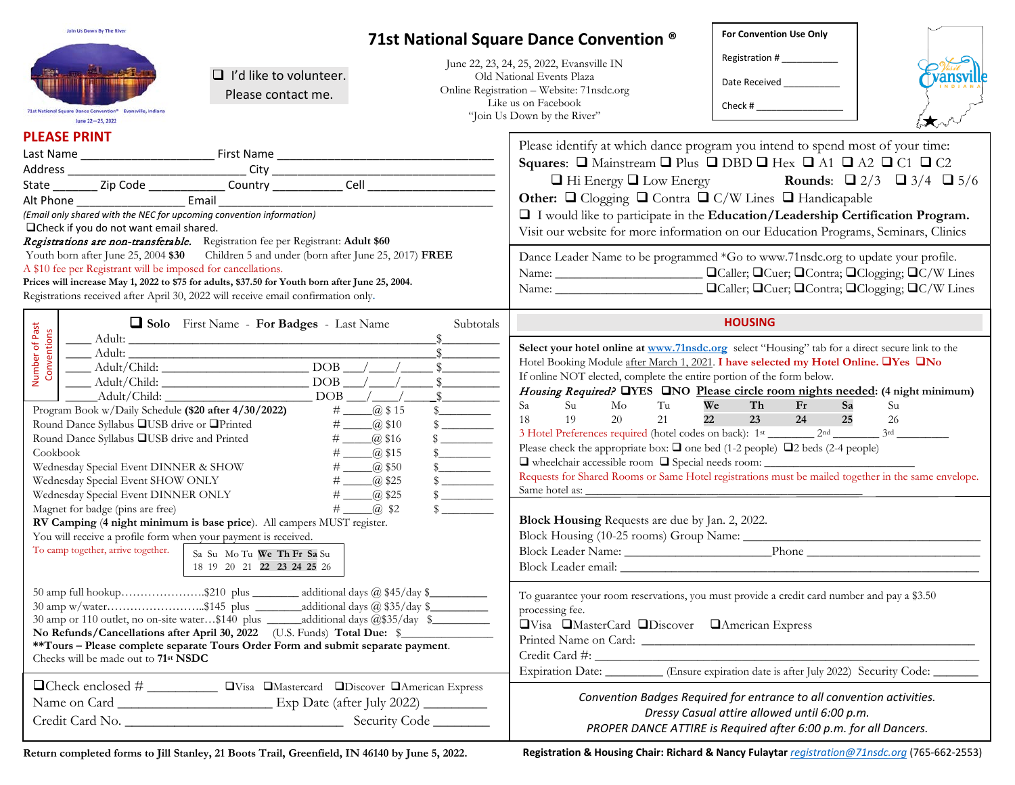| Join Us Down By The River<br>$\Box$ I'd like to volunteer.<br>Please contact me.<br>71st National Square Dance Convention®<br>June 22-25, 2022<br><b>PLEASE PRINT</b><br>(Email only shared with the NEC for upcoming convention information)<br>□ Check if you do not want email shared.                                                                                                                                                     |                                                                                                                                                                                                                                                                                                                                                | For Convention Use Only<br>71st National Square Dance Convention ®<br>Registration # ____________<br>June 22, 23, 24, 25, 2022, Evansville IN<br>Old National Events Plaza<br>ansv<br>Date Received<br><u>Date</u> Received<br>Online Registration - Website: 71nsdc.org<br>Like us on Facebook<br>Check # $\frac{1}{2}$ $\frac{1}{2}$ $\frac{1}{2}$ $\frac{1}{2}$ $\frac{1}{2}$ $\frac{1}{2}$ $\frac{1}{2}$ $\frac{1}{2}$ $\frac{1}{2}$ $\frac{1}{2}$ $\frac{1}{2}$ $\frac{1}{2}$ $\frac{1}{2}$ $\frac{1}{2}$ $\frac{1}{2}$ $\frac{1}{2}$ $\frac{1}{2}$ $\frac{1}{2}$ $\frac{1}{2}$ $\frac{1}{2}$ $\frac{1}{2}$ $\frac$<br>"Join Us Down by the River"<br>Please identify at which dance program you intend to spend most of your time:<br>Squares: $\Box$ Mainstream $\Box$ Plus $\Box$ DBD $\Box$ Hex $\Box$ A1 $\Box$ A2 $\Box$ C1 $\Box$ C2<br>$\Box$ Hi Energy $\Box$ Low Energy Rounds: $\Box$ 2/3 $\Box$ 3/4 $\Box$ 5/6<br>Other: Q Clogging Q Contra Q C/W Lines Q Handicapable<br>I I would like to participate in the Education/Leadership Certification Program.<br>Visit our website for more information on our Education Programs, Seminars, Clinics |                                                                                                                                                                                                                                                                                                                                                                                                                                                                                                                                                                                                                                                                                                    |                                                                                                                                                                                           |          |  |  |
|-----------------------------------------------------------------------------------------------------------------------------------------------------------------------------------------------------------------------------------------------------------------------------------------------------------------------------------------------------------------------------------------------------------------------------------------------|------------------------------------------------------------------------------------------------------------------------------------------------------------------------------------------------------------------------------------------------------------------------------------------------------------------------------------------------|---------------------------------------------------------------------------------------------------------------------------------------------------------------------------------------------------------------------------------------------------------------------------------------------------------------------------------------------------------------------------------------------------------------------------------------------------------------------------------------------------------------------------------------------------------------------------------------------------------------------------------------------------------------------------------------------------------------------------------------------------------------------------------------------------------------------------------------------------------------------------------------------------------------------------------------------------------------------------------------------------------------------------------------------------------------------------------------------------------------------------------------------------------------------|----------------------------------------------------------------------------------------------------------------------------------------------------------------------------------------------------------------------------------------------------------------------------------------------------------------------------------------------------------------------------------------------------------------------------------------------------------------------------------------------------------------------------------------------------------------------------------------------------------------------------------------------------------------------------------------------------|-------------------------------------------------------------------------------------------------------------------------------------------------------------------------------------------|----------|--|--|
| Registrations are non-transferable. Registration fee per Registrant: Adult \$60<br>Youth born after June 25, 2004 \$30 Children 5 and under (born after June 25, 2017) FREE<br>A \$10 fee per Registrant will be imposed for cancellations.<br>Prices will increase May 1, 2022 to \$75 for adults, \$37.50 for Youth born after June 25, 2004.<br>Registrations received after April 30, 2022 will receive email confirmation only.          |                                                                                                                                                                                                                                                                                                                                                |                                                                                                                                                                                                                                                                                                                                                                                                                                                                                                                                                                                                                                                                                                                                                                                                                                                                                                                                                                                                                                                                                                                                                                     | Dance Leader Name to be programmed *Go to www.71nsdc.org to update your profile.                                                                                                                                                                                                                                                                                                                                                                                                                                                                                                                                                                                                                   |                                                                                                                                                                                           |          |  |  |
| Number of Past<br>Conventions<br>Round Dance Syllabus QUSB drive or QPrinted<br>Round Dance Syllabus LUSB drive and Printed<br>Cookbook<br>Wednesday Special Event DINNER & SHOW<br>Wednesday Special Event SHOW ONLY<br>Wednesday Special Event DINNER ONLY<br>Magnet for badge (pins are free)<br>You will receive a profile form when your payment is received.<br>To camp together, arrive together.                                      | Solo First Name - For Badges - Last Name<br>$Adult/Child:$ DOB $\_\_\_\_\_\_\_\_\_$<br># $\_\_$ \$16<br>$\#$ $\_\_$ \$15<br># $\_\_$ \$50<br>$\#$ $\_\_$ \$25<br>$\#$ $\_\_$ \$25<br>$\#$ $\Box$ (a) \$2<br>RV Camping (4 night minimum is base price). All campers MUST register.<br>Sa Su Mo Tu We Th Fr Sa Su<br>18 19 20 21 22 23 24 25 26 | Subtotals<br>\$<br>$\frac{\text{S}}{\text{S}}$<br>$\sim$                                                                                                                                                                                                                                                                                                                                                                                                                                                                                                                                                                                                                                                                                                                                                                                                                                                                                                                                                                                                                                                                                                            | Select your hotel online at www.71nsdc.org select "Housing" tab for a direct secure link to the<br>Hotel Booking Module after March 1, 2021. I have selected my Hotel Online. TYes TNo<br>If online NOT elected, complete the entire portion of the form below.<br>Housing Required? <b>QYES QNO</b> Please circle room nights needed: (4 night minimum)<br>Su<br>Sa<br>M <sub>O</sub><br>Tu<br>21<br>22<br>18<br>19<br>20<br>Please check the appropriate box: $\Box$ one bed (1-2 people) $\Box$ 2 beds (2-4 people)<br>Requests for Shared Rooms or Same Hotel registrations must be mailed together in the same envelope.<br>Same hotel as:<br>Block Housing Requests are due by Jan. 2, 2022. | <b>HOUSING</b><br>We<br>Th <sub>1</sub><br>Fr<br>Sa<br>23<br>25<br>24                                                                                                                     | Su<br>26 |  |  |
| 50 amp full hookup\$210 plus<br>additional days @ \$45/day \$<br>30 amp w/water\$145 plus _________additional days @ \$35/day \$___________<br>No Refunds/Cancellations after April 30, 2022 (U.S. Funds) Total Due: \$<br>**Tours - Please complete separate Tours Order Form and submit separate payment.<br>Checks will be made out to 71 <sup>st</sup> NSDC<br>□Check enclosed # __________ □Visa □Mastercard □Discover □American Express |                                                                                                                                                                                                                                                                                                                                                |                                                                                                                                                                                                                                                                                                                                                                                                                                                                                                                                                                                                                                                                                                                                                                                                                                                                                                                                                                                                                                                                                                                                                                     | To guarantee your room reservations, you must provide a credit card number and pay a \$3.50<br>processing fee.<br><b>OVisa OMasterCard ODiscover OAmerican Express</b><br>Expiration Date: ________ (Ensure expiration date is after July 2022) Security Code: _____                                                                                                                                                                                                                                                                                                                                                                                                                               |                                                                                                                                                                                           |          |  |  |
|                                                                                                                                                                                                                                                                                                                                                                                                                                               |                                                                                                                                                                                                                                                                                                                                                |                                                                                                                                                                                                                                                                                                                                                                                                                                                                                                                                                                                                                                                                                                                                                                                                                                                                                                                                                                                                                                                                                                                                                                     |                                                                                                                                                                                                                                                                                                                                                                                                                                                                                                                                                                                                                                                                                                    | Convention Badges Required for entrance to all convention activities.<br>Dressy Casual attire allowed until 6:00 p.m.<br>PROPER DANCE ATTIRE is Required after 6:00 p.m. for all Dancers. |          |  |  |

**Return completed forms to Jill Stanley, 21 Boots Trail, Greenfield, IN 46140 by June 5, 2022.**

**Registration & Housing Chair: Richard & Nancy Fulaytar** *[registration@71nsdc.org](mailto:registration@71nsdc.org)* (765-662-2553)